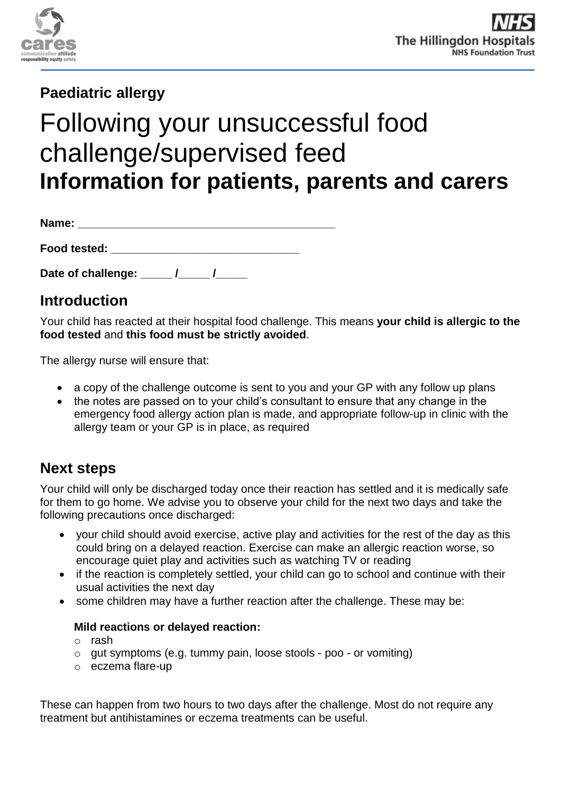

## **Paediatric allergy**

# Following your unsuccessful food challenge/supervised feed **Information for patients, parents and carers**

| Name:        |  |  |  |
|--------------|--|--|--|
| Food tested: |  |  |  |

Date of challenge: \_\_\_\_\_ /\_\_\_\_\_ /\_\_\_\_\_

## **Introduction**

Your child has reacted at their hospital food challenge. This means **your child is allergic to the food tested** and **this food must be strictly avoided**.

The allergy nurse will ensure that:

- a copy of the challenge outcome is sent to you and your GP with any follow up plans
- the notes are passed on to your child's consultant to ensure that any change in the emergency food allergy action plan is made, and appropriate follow-up in clinic with the allergy team or your GP is in place, as required

## **Next steps**

Your child will only be discharged today once their reaction has settled and it is medically safe for them to go home. We advise you to observe your child for the next two days and take the following precautions once discharged:

- your child should avoid exercise, active play and activities for the rest of the day as this could bring on a delayed reaction. Exercise can make an allergic reaction worse, so encourage quiet play and activities such as watching TV or reading
- if the reaction is completely settled, your child can go to school and continue with their usual activities the next day
- some children may have a further reaction after the challenge. These may be:

#### **Mild reactions or delayed reaction:**

- o rash
- o gut symptoms (e.g. tummy pain, loose stools poo or vomiting)
- o eczema flare-up

These can happen from two hours to two days after the challenge. Most do not require any treatment but antihistamines or eczema treatments can be useful.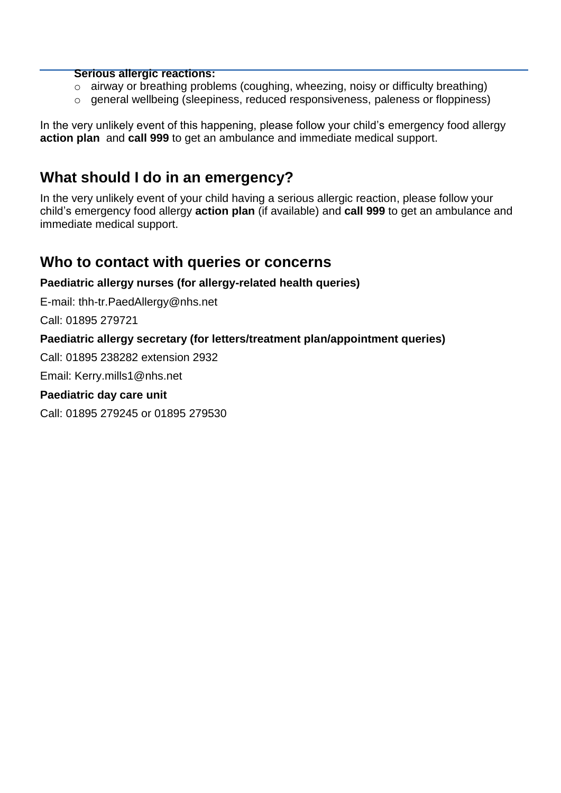#### **Serious allergic reactions:**

- o airway or breathing problems (coughing, wheezing, noisy or difficulty breathing)
- o general wellbeing (sleepiness, reduced responsiveness, paleness or floppiness)

In the very unlikely event of this happening, please follow your child's emergency food allergy **action plan** and **call 999** to get an ambulance and immediate medical support.

## **What should I do in an emergency?**

In the very unlikely event of your child having a serious allergic reaction, please follow your child's emergency food allergy **action plan** (if available) and **call 999** to get an ambulance and immediate medical support.

### **Who to contact with queries or concerns**

#### **Paediatric allergy nurses (for allergy-related health queries)**

E-mail: [thh-tr.PaedAllergy@nhs.net](mailto:thh-tr.PaedAllergy@nhs.net)

Call: 01895 279721

#### **Paediatric allergy secretary (for letters/treatment plan/appointment queries)**

Call: 01895 238282 extension 2932

Email: Kerry.mills1@nhs.net

#### **Paediatric day care unit**

Call: 01895 279245 or 01895 279530